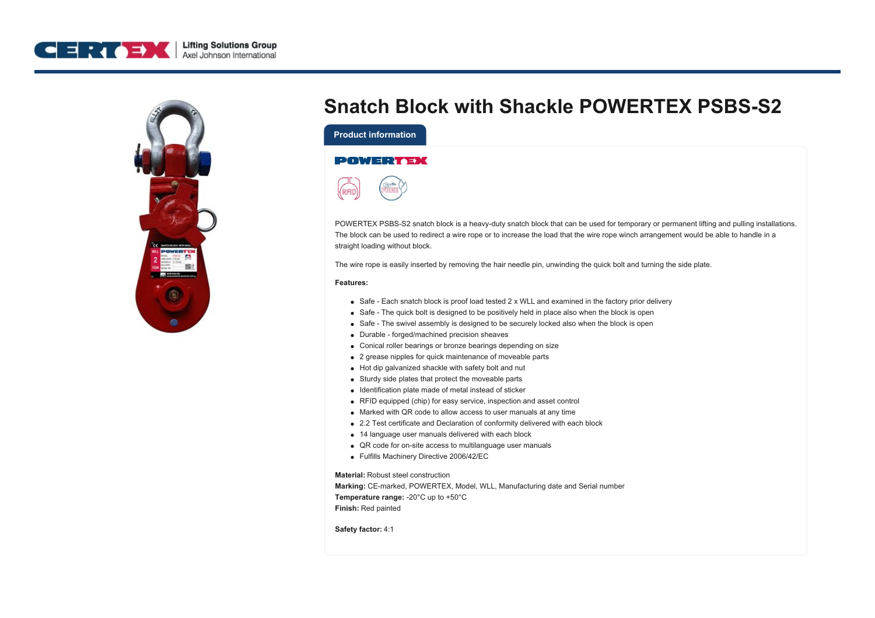



## **Snatch Block with Shackle POWERTEX PSBS-S2**

**Product information**

## **POWERTEX**



POWERTEX PSBS-S2 snatch block is a heavy-duty snatch block that can be used for temporary or permanent lifting and pulling installations. The block can be used to redirect a wire rope or to increase the load that the wire rope winch arrangement would be able to handle in a straight loading without block.

The wire rope is easily inserted by removing the hair needle pin, unwinding the quick bolt and turning the side plate.

## **Features:**

- Safe Each snatch block is proof load tested 2 x WLL and examined in the factory prior delivery
- Safe The quick bolt is designed to be positively held in place also when the block is open
- Safe The swivel assembly is designed to be securely locked also when the block is open
- Durable forged/machined precision sheaves
- Conical roller bearings or bronze bearings depending on size
- 2 grease nipples for quick maintenance of moveable parts
- Hot dip galvanized shackle with safety bolt and nut
- Sturdy side plates that protect the moveable parts
- Identification plate made of metal instead of sticker
- RFID equipped (chip) for easy service, inspection and asset control
- Marked with QR code to allow access to user manuals at any time
- 2.2 Test certificate and Declaration of conformity delivered with each block
- 14 language user manuals delivered with each block
- QR code for on-site access to multilanguage user manuals
- Fulfills Machinery Directive 2006/42/EC

**Material:** Robust steel construction

**Marking:** CE-marked, POWERTEX, Model, WLL, Manufacturing date and Serial number **Temperature range:** -20°C up to +50°C **Finish:** Red painted

**Safety factor:** 4:1